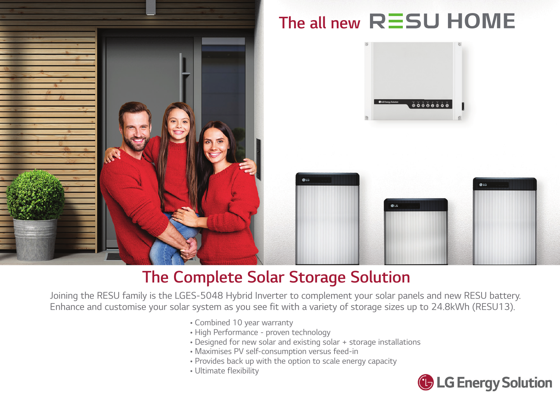

## The Complete Solar Storage Solution

Joining the RESU family is the LGES-5048 Hybrid Inverter to complement your solar panels and new RESU battery. Enhance and customise your solar system as you see fit with a variety of storage sizes up to 24.8kWh (RESU13).

- Combined 10 year warranty
- High Performance proven technology
- Designed for new solar and existing solar + storage installations
- Maximises PV self-consumption versus feed-in
- Provides back up with the option to scale energy capacity
- Ultimate flexibility